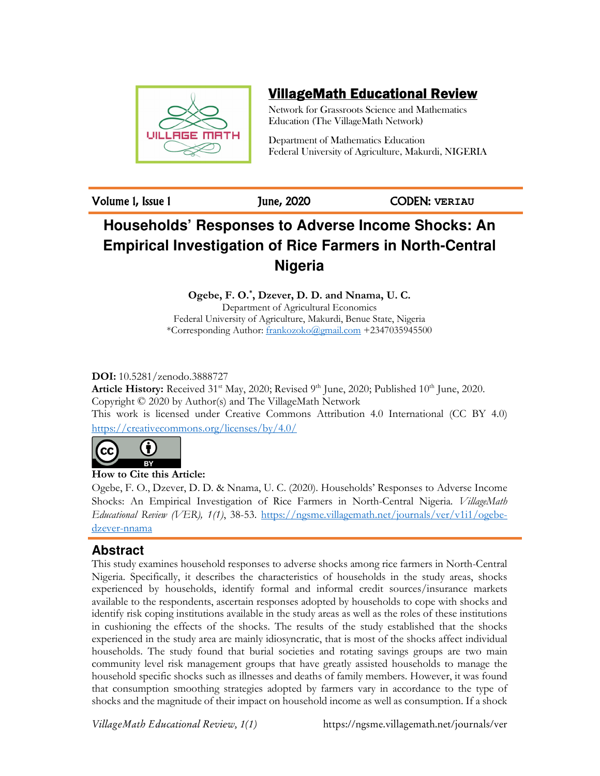

# VillageMath Educational Review

Network for Grassroots Science and Mathematics Education (The VillageMath Network)

Department of Mathematics Education Federal University of Agriculture, Makurdi, NIGERIA

Volume 1, Issue 1 June, 2020 CODEN: **VERIAU**

# **Households' Responses to Adverse Income Shocks: An Empirical Investigation of Rice Farmers in North-Central Nigeria**

**Ogebe, F. O.\* , Dzever, D. D. and Nnama, U. C.** 

Department of Agricultural Economics Federal University of Agriculture, Makurdi, Benue State, Nigeria \*Corresponding Author: frankozoko@gmail.com +2347035945500

**DOI:** 10.5281/zenodo.3888727

**Article History:** Received 31<sup>st</sup> May, 2020; Revised 9<sup>th</sup> June, 2020; Published 10<sup>th</sup> June, 2020. Copyright © 2020 by Author(s) and The VillageMath Network This work is licensed under Creative Commons Attribution 4.0 International (CC BY 4.0) https://creativecommons.org/licenses/by/4.0/



**How to Cite this Article:** 

Ogebe, F. O., Dzever, D. D. & Nnama, U. C. (2020). Households' Responses to Adverse Income Shocks: An Empirical Investigation of Rice Farmers in North-Central Nigeria. *VillageMath Educational Review (VER), 1(1)*, 38-53. https://ngsme.villagemath.net/journals/ver/v1i1/ogebedzever-nnama

# **Abstract**

This study examines household responses to adverse shocks among rice farmers in North-Central Nigeria. Specifically, it describes the characteristics of households in the study areas, shocks experienced by households, identify formal and informal credit sources/insurance markets available to the respondents, ascertain responses adopted by households to cope with shocks and identify risk coping institutions available in the study areas as well as the roles of these institutions in cushioning the effects of the shocks. The results of the study established that the shocks experienced in the study area are mainly idiosyncratic, that is most of the shocks affect individual households. The study found that burial societies and rotating savings groups are two main community level risk management groups that have greatly assisted households to manage the household specific shocks such as illnesses and deaths of family members. However, it was found that consumption smoothing strategies adopted by farmers vary in accordance to the type of shocks and the magnitude of their impact on household income as well as consumption. If a shock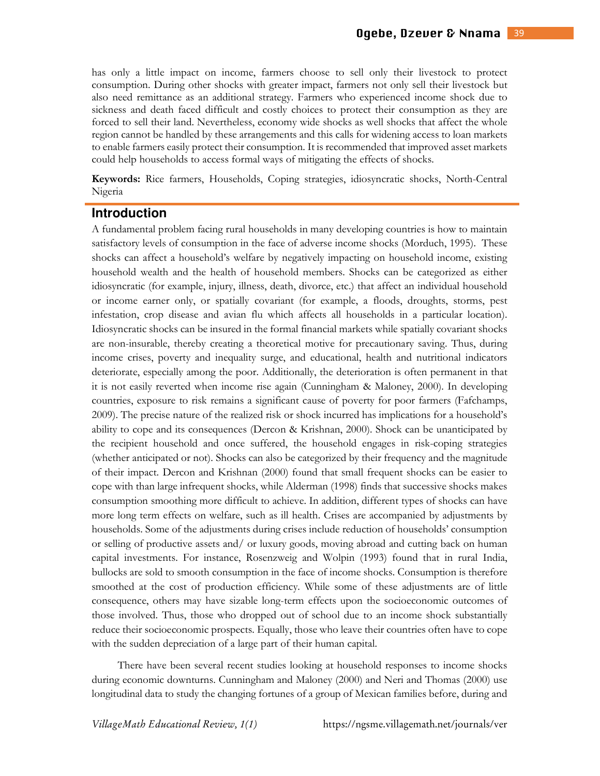has only a little impact on income, farmers choose to sell only their livestock to protect consumption. During other shocks with greater impact, farmers not only sell their livestock but also need remittance as an additional strategy. Farmers who experienced income shock due to sickness and death faced difficult and costly choices to protect their consumption as they are forced to sell their land. Nevertheless, economy wide shocks as well shocks that affect the whole region cannot be handled by these arrangements and this calls for widening access to loan markets to enable farmers easily protect their consumption. It is recommended that improved asset markets could help households to access formal ways of mitigating the effects of shocks.

**Keywords:** Rice farmers, Households, Coping strategies, idiosyncratic shocks, North-Central Nigeria

#### **Introduction**

A fundamental problem facing rural households in many developing countries is how to maintain satisfactory levels of consumption in the face of adverse income shocks (Morduch, 1995). These shocks can affect a household's welfare by negatively impacting on household income, existing household wealth and the health of household members. Shocks can be categorized as either idiosyncratic (for example, injury, illness, death, divorce, etc.) that affect an individual household or income earner only, or spatially covariant (for example, a floods, droughts, storms, pest infestation, crop disease and avian flu which affects all households in a particular location). Idiosyncratic shocks can be insured in the formal financial markets while spatially covariant shocks are non-insurable, thereby creating a theoretical motive for precautionary saving. Thus, during income crises, poverty and inequality surge, and educational, health and nutritional indicators deteriorate, especially among the poor. Additionally, the deterioration is often permanent in that it is not easily reverted when income rise again (Cunningham & Maloney, 2000). In developing countries, exposure to risk remains a significant cause of poverty for poor farmers (Fafchamps, 2009). The precise nature of the realized risk or shock incurred has implications for a household's ability to cope and its consequences (Dercon & Krishnan, 2000). Shock can be unanticipated by the recipient household and once suffered, the household engages in risk-coping strategies (whether anticipated or not). Shocks can also be categorized by their frequency and the magnitude of their impact. Dercon and Krishnan (2000) found that small frequent shocks can be easier to cope with than large infrequent shocks, while Alderman (1998) finds that successive shocks makes consumption smoothing more difficult to achieve. In addition, different types of shocks can have more long term effects on welfare, such as ill health. Crises are accompanied by adjustments by households. Some of the adjustments during crises include reduction of households' consumption or selling of productive assets and/ or luxury goods, moving abroad and cutting back on human capital investments. For instance, Rosenzweig and Wolpin (1993) found that in rural India, bullocks are sold to smooth consumption in the face of income shocks. Consumption is therefore smoothed at the cost of production efficiency. While some of these adjustments are of little consequence, others may have sizable long-term effects upon the socioeconomic outcomes of those involved. Thus, those who dropped out of school due to an income shock substantially reduce their socioeconomic prospects. Equally, those who leave their countries often have to cope with the sudden depreciation of a large part of their human capital.

There have been several recent studies looking at household responses to income shocks during economic downturns. Cunningham and Maloney (2000) and Neri and Thomas (2000) use longitudinal data to study the changing fortunes of a group of Mexican families before, during and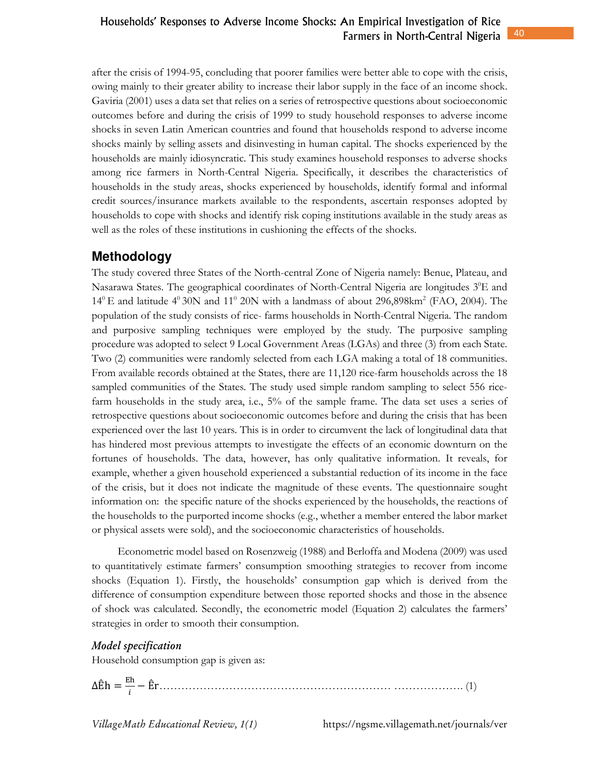after the crisis of 1994-95, concluding that poorer families were better able to cope with the crisis, owing mainly to their greater ability to increase their labor supply in the face of an income shock. Gaviria (2001) uses a data set that relies on a series of retrospective questions about socioeconomic outcomes before and during the crisis of 1999 to study household responses to adverse income shocks in seven Latin American countries and found that households respond to adverse income shocks mainly by selling assets and disinvesting in human capital. The shocks experienced by the households are mainly idiosyncratic. This study examines household responses to adverse shocks among rice farmers in North-Central Nigeria. Specifically, it describes the characteristics of households in the study areas, shocks experienced by households, identify formal and informal credit sources/insurance markets available to the respondents, ascertain responses adopted by households to cope with shocks and identify risk coping institutions available in the study areas as well as the roles of these institutions in cushioning the effects of the shocks.

# **Methodology**

The study covered three States of the North-central Zone of Nigeria namely: Benue, Plateau, and Nasarawa States. The geographical coordinates of North-Central Nigeria are longitudes  $3^0E$  and  $14^{\circ}$  E and latitude  $4^{\circ}$  30N and  $11^{\circ}$  20N with a landmass of about 296,898km<sup>2</sup> (FAO, 2004). The population of the study consists of rice- farms households in North-Central Nigeria. The random and purposive sampling techniques were employed by the study. The purposive sampling procedure was adopted to select 9 Local Government Areas (LGAs) and three (3) from each State. Two (2) communities were randomly selected from each LGA making a total of 18 communities. From available records obtained at the States, there are 11,120 rice-farm households across the 18 sampled communities of the States. The study used simple random sampling to select 556 ricefarm households in the study area, i.e., 5% of the sample frame. The data set uses a series of retrospective questions about socioeconomic outcomes before and during the crisis that has been experienced over the last 10 years. This is in order to circumvent the lack of longitudinal data that has hindered most previous attempts to investigate the effects of an economic downturn on the fortunes of households. The data, however, has only qualitative information. It reveals, for example, whether a given household experienced a substantial reduction of its income in the face of the crisis, but it does not indicate the magnitude of these events. The questionnaire sought information on: the specific nature of the shocks experienced by the households, the reactions of the households to the purported income shocks (e.g., whether a member entered the labor market or physical assets were sold), and the socioeconomic characteristics of households.

Econometric model based on Rosenzweig (1988) and Berloffa and Modena (2009) was used to quantitatively estimate farmers' consumption smoothing strategies to recover from income shocks (Equation 1). Firstly, the households' consumption gap which is derived from the difference of consumption expenditure between those reported shocks and those in the absence of shock was calculated. Secondly, the econometric model (Equation 2) calculates the farmers' strategies in order to smooth their consumption.

#### $\emph{Model specification}$

Household consumption gap is given as:

ΔÊh = − Êr……………………………………………………… ………………. (1)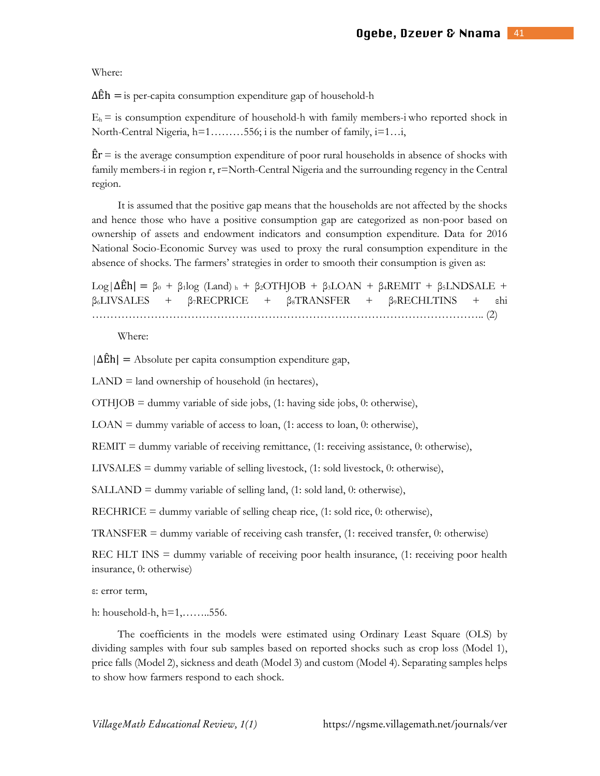Where:

 $\Delta$ Eh = is per-capita consumption expenditure gap of household-h

 $E_h$  = is consumption expenditure of household-h with family members-i who reported shock in North-Central Nigeria, h=1………556; i is the number of family, i=1…i,

 $\text{E}$ r = is the average consumption expenditure of poor rural households in absence of shocks with family members-i in region r, r=North-Central Nigeria and the surrounding regency in the Central region.

It is assumed that the positive gap means that the households are not affected by the shocks and hence those who have a positive consumption gap are categorized as non-poor based on ownership of assets and endowment indicators and consumption expenditure. Data for 2016 National Socio-Economic Survey was used to proxy the rural consumption expenditure in the absence of shocks. The farmers' strategies in order to smooth their consumption is given as:

 $\text{Log}|\Delta \hat{\text{E}}h| = \beta_0 + \beta_1 \log (\text{Land})_h + \beta_2 OTHJOB + \beta_3 \text{LOAN} + \beta_4 \text{REMIT} + \beta_5 \text{LNDSALE} +$  $\beta_6$ LIVSALES +  $\beta_7$ RECPRICE +  $\beta_8$ TRANSFER +  $\beta_9$ RECHLTINS + εhi …………………………………………………………………………………………….. (2)

Where:

 $|\Delta E h|$  = Absolute per capita consumption expenditure gap,

 $LAND = land ownership of household (in hectares),$ 

 $\overline{OTH}$  OTHJOB = dummy variable of side jobs, (1: having side jobs, 0: otherwise),

LOAN = dummy variable of access to loan, (1: access to loan, 0: otherwise),

REMIT = dummy variable of receiving remittance,  $(1:$  receiving assistance,  $0:$  otherwise),

LIVSALES = dummy variable of selling livestock, (1: sold livestock, 0: otherwise),

SALLAND = dummy variable of selling land, (1: sold land, 0: otherwise),

RECHRICE = dummy variable of selling cheap rice,  $(1:$  sold rice,  $0:$  otherwise),

TRANSFER = dummy variable of receiving cash transfer, (1: received transfer, 0: otherwise)

REC HLT INS = dummy variable of receiving poor health insurance, (1: receiving poor health insurance, 0: otherwise)

ε: error term,

h: household-h, h=1,……..556.

The coefficients in the models were estimated using Ordinary Least Square (OLS) by dividing samples with four sub samples based on reported shocks such as crop loss (Model 1), price falls (Model 2), sickness and death (Model 3) and custom (Model 4). Separating samples helps to show how farmers respond to each shock.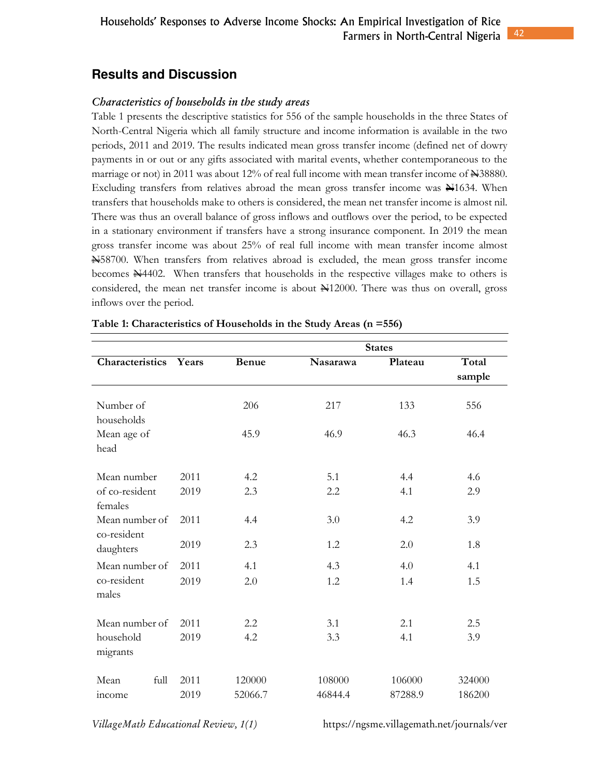# **Results and Discussion**

#### *Characteristics of households in the study areas*

Table 1 presents the descriptive statistics for 556 of the sample households in the three States of North-Central Nigeria which all family structure and income information is available in the two periods, 2011 and 2019. The results indicated mean gross transfer income (defined net of dowry payments in or out or any gifts associated with marital events, whether contemporaneous to the marriage or not) in 2011 was about 12% of real full income with mean transfer income of  $\pm$ 38880. Excluding transfers from relatives abroad the mean gross transfer income was N1634. When transfers that households make to others is considered, the mean net transfer income is almost nil. There was thus an overall balance of gross inflows and outflows over the period, to be expected in a stationary environment if transfers have a strong insurance component. In 2019 the mean gross transfer income was about 25% of real full income with mean transfer income almost N58700. When transfers from relatives abroad is excluded, the mean gross transfer income becomes  $\frac{1}{2}4402$ . When transfers that households in the respective villages make to others is considered, the mean net transfer income is about  $\frac{N}{12000}$ . There was thus on overall, gross inflows over the period.

|                               |       |              |                 | <b>States</b> |                 |
|-------------------------------|-------|--------------|-----------------|---------------|-----------------|
| Characteristics               | Years | <b>Benue</b> | <b>Nasarawa</b> | Plateau       | Total<br>sample |
| Number of<br>households       |       | 206          | 217             | 133           | 556             |
| Mean age of<br>head           |       | 45.9         | 46.9            | 46.3          | 46.4            |
| Mean number                   | 2011  | 4.2          | 5.1             | 4.4           | 4.6             |
| of co-resident<br>females     | 2019  | 2.3          | 2.2             | 4.1           | 2.9             |
| Mean number of<br>co-resident | 2011  | 4.4          | 3.0             | 4.2           | 3.9             |
| daughters                     | 2019  | 2.3          | 1.2             | 2.0           | 1.8             |
| Mean number of                | 2011  | 4.1          | 4.3             | 4.0           | 4.1             |
| co-resident<br>males          | 2019  | 2.0          | 1.2             | 1.4           | 1.5             |
| Mean number of                | 2011  | 2.2          | 3.1             | 2.1           | 2.5             |
| household<br>migrants         | 2019  | 4.2          | 3.3             | 4.1           | 3.9             |
| full<br>Mean                  | 2011  | 120000       | 108000          | 106000        | 324000          |
| income                        | 2019  | 52066.7      | 46844.4         | 87288.9       | 186200          |

**Table 1: Characteristics of Households in the Study Areas (n =556)**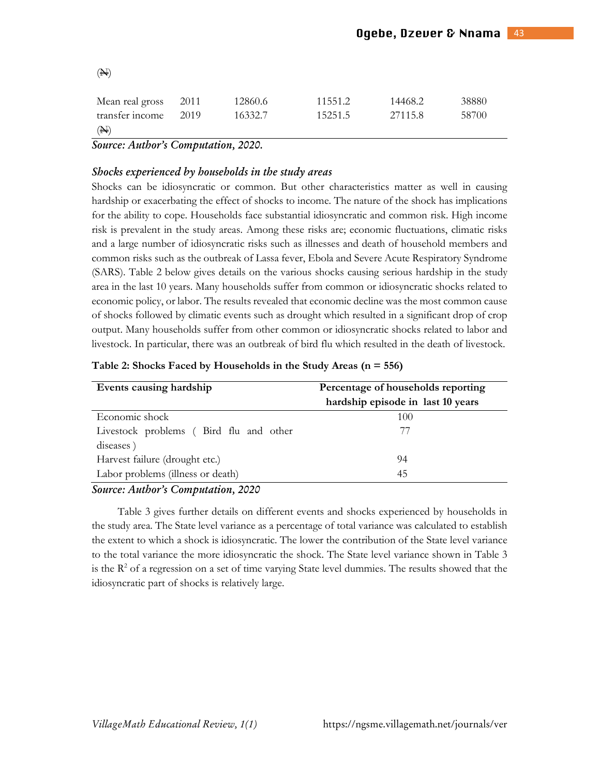| (A)                  |      |         |         |         |       |
|----------------------|------|---------|---------|---------|-------|
| Mean real gross 2011 |      | 12860.6 | 11551.2 | 14468.2 | 38880 |
| transfer income      | 2019 | 16332.7 | 15251.5 | 27115.8 | 58700 |
| $(\mathbb{N})$       |      |         |         |         |       |

*Source: Author's Computation, 2020.* 

#### *Sh-cs experieced by h-useh-ds i the study areas*

Shocks can be idiosyncratic or common. But other characteristics matter as well in causing hardship or exacerbating the effect of shocks to income. The nature of the shock has implications for the ability to cope. Households face substantial idiosyncratic and common risk. High income risk is prevalent in the study areas. Among these risks are; economic fluctuations, climatic risks and a large number of idiosyncratic risks such as illnesses and death of household members and common risks such as the outbreak of Lassa fever, Ebola and Severe Acute Respiratory Syndrome (SARS). Table 2 below gives details on the various shocks causing serious hardship in the study area in the last 10 years. Many households suffer from common or idiosyncratic shocks related to economic policy, or labor. The results revealed that economic decline was the most common cause of shocks followed by climatic events such as drought which resulted in a significant drop of crop output. Many households suffer from other common or idiosyncratic shocks related to labor and livestock. In particular, there was an outbreak of bird flu which resulted in the death of livestock.

| Table 2: Shocks Faced by Households in the Study Areas $(n = 556)$ |  |  |  |  |  |  |  |  |  |  |  |
|--------------------------------------------------------------------|--|--|--|--|--|--|--|--|--|--|--|
|--------------------------------------------------------------------|--|--|--|--|--|--|--|--|--|--|--|

| Events causing hardship                | Percentage of households reporting |  |  |  |
|----------------------------------------|------------------------------------|--|--|--|
|                                        | hardship episode in last 10 years  |  |  |  |
| Economic shock                         | 100                                |  |  |  |
| Livestock problems (Bird flu and other | $\frac{1}{2}$                      |  |  |  |
| diseases)                              |                                    |  |  |  |
| Harvest failure (drought etc.)         | 94                                 |  |  |  |
| Labor problems (illness or death)      | 45                                 |  |  |  |

#### *Source: Author's Computation, 2020*

Table 3 gives further details on different events and shocks experienced by households in the study area. The State level variance as a percentage of total variance was calculated to establish the extent to which a shock is idiosyncratic. The lower the contribution of the State level variance to the total variance the more idiosyncratic the shock. The State level variance shown in Table 3 is the  $R<sup>2</sup>$  of a regression on a set of time varying State level dummies. The results showed that the idiosyncratic part of shocks is relatively large.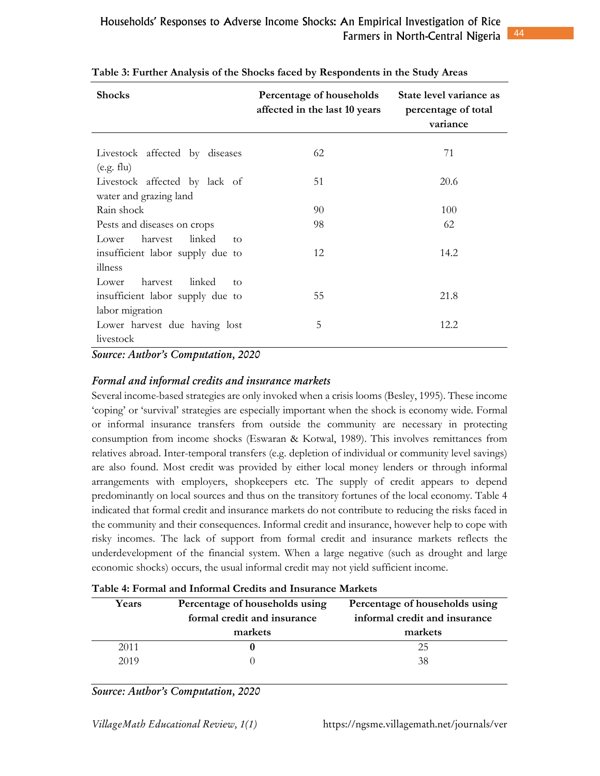| <b>Shocks</b>                                           | Percentage of households<br>affected in the last 10 years | State level variance as<br>percentage of total<br>variance |
|---------------------------------------------------------|-----------------------------------------------------------|------------------------------------------------------------|
| Livestock affected by diseases<br>(e.g. flu)            | 62                                                        | 71                                                         |
| Livestock affected by lack of<br>water and grazing land | 51                                                        | 20.6                                                       |
| Rain shock                                              | 90                                                        | 100                                                        |
| Pests and diseases on crops                             | 98                                                        | 62                                                         |
| linked<br>harvest<br>Lower<br>to                        |                                                           |                                                            |
| insufficient labor supply due to                        | 12                                                        | 14.2                                                       |
| illness                                                 |                                                           |                                                            |
| harvest<br>linked<br>Lower<br>to                        |                                                           |                                                            |
| insufficient labor supply due to                        | 55                                                        | 21.8                                                       |
| labor migration                                         |                                                           |                                                            |
| Lower harvest due having lost                           | 5                                                         | 12.2                                                       |
| livestock                                               |                                                           |                                                            |

|  |  |  |  | Table 3: Further Analysis of the Shocks faced by Respondents in the Study Areas |  |
|--|--|--|--|---------------------------------------------------------------------------------|--|
|  |  |  |  |                                                                                 |  |

*Source: Author's Computation, 2020* 

## *F-ra ad if-ra credits ad isurace arets*

Several income-based strategies are only invoked when a crisis looms (Besley, 1995). These income 'coping' or 'survival' strategies are especially important when the shock is economy wide. Formal or informal insurance transfers from outside the community are necessary in protecting consumption from income shocks (Eswaran & Kotwal, 1989). This involves remittances from relatives abroad. Inter-temporal transfers (e.g. depletion of individual or community level savings) are also found. Most credit was provided by either local money lenders or through informal arrangements with employers, shopkeepers etc. The supply of credit appears to depend predominantly on local sources and thus on the transitory fortunes of the local economy. Table 4 indicated that formal credit and insurance markets do not contribute to reducing the risks faced in the community and their consequences. Informal credit and insurance, however help to cope with risky incomes. The lack of support from formal credit and insurance markets reflects the underdevelopment of the financial system. When a large negative (such as drought and large economic shocks) occurs, the usual informal credit may not yield sufficient income.

| Table 4: Formal and Informal Credits and Insurance Markets |  |  |
|------------------------------------------------------------|--|--|
|------------------------------------------------------------|--|--|

| Years | Percentage of households using<br>formal credit and insurance<br>markets | Percentage of households using<br>informal credit and insurance<br>markets |
|-------|--------------------------------------------------------------------------|----------------------------------------------------------------------------|
| 2011  |                                                                          | 25                                                                         |
| 2019  |                                                                          | 38                                                                         |

*Source: Author's Computation, 2020*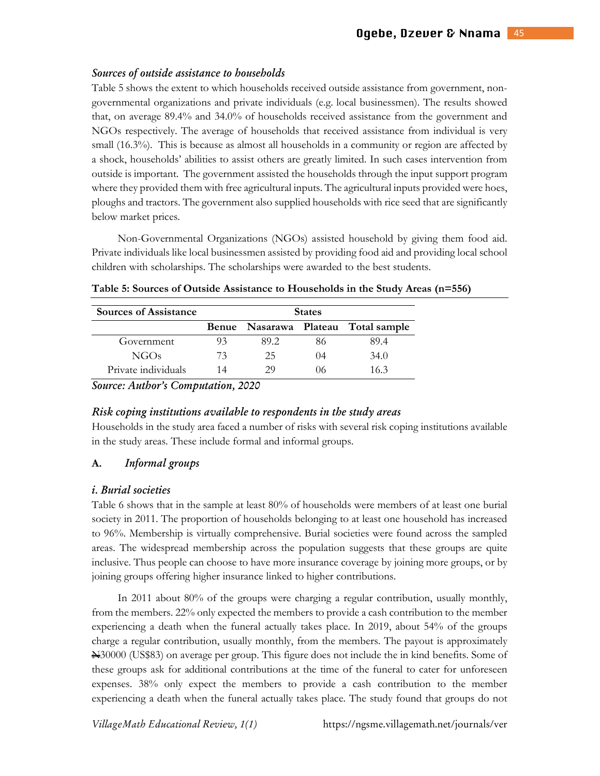#### *Sources of outside assistance to households*

Table 5 shows the extent to which households received outside assistance from government, nongovernmental organizations and private individuals (e.g. local businessmen). The results showed that, on average 89.4% and 34.0% of households received assistance from the government and NGOs respectively. The average of households that received assistance from individual is very small (16.3%). This is because as almost all households in a community or region are affected by a shock, households' abilities to assist others are greatly limited. In such cases intervention from outside is important. The government assisted the households through the input support program where they provided them with free agricultural inputs. The agricultural inputs provided were hoes, ploughs and tractors. The government also supplied households with rice seed that are significantly below market prices.

Non-Governmental Organizations (NGOs) assisted household by giving them food aid. Private individuals like local businessmen assisted by providing food aid and providing local school children with scholarships. The scholarships were awarded to the best students.

| <b>Sources of Assistance</b> | <b>States</b> |      |      |                                     |  |  |  |
|------------------------------|---------------|------|------|-------------------------------------|--|--|--|
|                              |               |      |      | Benue Nasarawa Plateau Total sample |  |  |  |
| Government                   | 93            | 89.2 | 86   | 89.4                                |  |  |  |
| NGOs                         | 73            | 25   | (1)4 | 34.0                                |  |  |  |
| Private individuals          | 14            | 29   | 06   | 163                                 |  |  |  |

**Table 5: Sources of Outside Assistance to Households in the Study Areas (n=556)** 

*Source: Author's Computation, 2020* 

#### *Ris c-pig istituti-s avaiabe t- resp-dets i the study areas*

Households in the study area faced a number of risks with several risk coping institutions available in the study areas. These include formal and informal groups.

#### **A.** Informal groups

#### *i. Burial societies*

Table 6 shows that in the sample at least 80% of households were members of at least one burial society in 2011. The proportion of households belonging to at least one household has increased to 96%. Membership is virtually comprehensive. Burial societies were found across the sampled areas. The widespread membership across the population suggests that these groups are quite inclusive. Thus people can choose to have more insurance coverage by joining more groups, or by joining groups offering higher insurance linked to higher contributions.

In 2011 about 80% of the groups were charging a regular contribution, usually monthly, from the members. 22% only expected the members to provide a cash contribution to the member experiencing a death when the funeral actually takes place. In 2019, about 54% of the groups charge a regular contribution, usually monthly, from the members. The payout is approximately N30000 (US\$83) on average per group. This figure does not include the in kind benefits. Some of these groups ask for additional contributions at the time of the funeral to cater for unforeseen expenses. 38% only expect the members to provide a cash contribution to the member experiencing a death when the funeral actually takes place. The study found that groups do not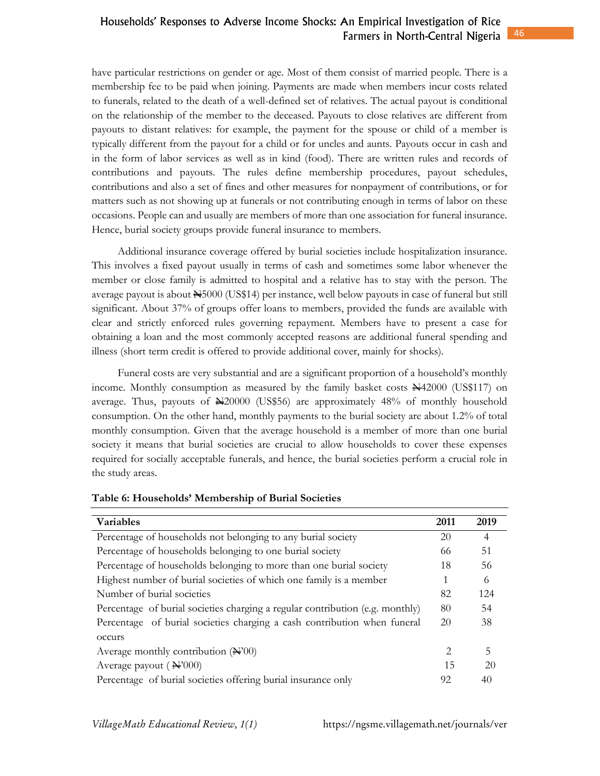have particular restrictions on gender or age. Most of them consist of married people. There is a membership fee to be paid when joining. Payments are made when members incur costs related to funerals, related to the death of a well-defined set of relatives. The actual payout is conditional on the relationship of the member to the deceased. Payouts to close relatives are different from payouts to distant relatives: for example, the payment for the spouse or child of a member is typically different from the payout for a child or for uncles and aunts. Payouts occur in cash and in the form of labor services as well as in kind (food). There are written rules and records of contributions and payouts. The rules define membership procedures, payout schedules, contributions and also a set of fines and other measures for nonpayment of contributions, or for matters such as not showing up at funerals or not contributing enough in terms of labor on these occasions. People can and usually are members of more than one association for funeral insurance. Hence, burial society groups provide funeral insurance to members.

Additional insurance coverage offered by burial societies include hospitalization insurance. This involves a fixed payout usually in terms of cash and sometimes some labor whenever the member or close family is admitted to hospital and a relative has to stay with the person. The average payout is about  $\cancel{\text{H}}$ 5000 (US\$14) per instance, well below payouts in case of funeral but still significant. About 37% of groups offer loans to members, provided the funds are available with clear and strictly enforced rules governing repayment. Members have to present a case for obtaining a loan and the most commonly accepted reasons are additional funeral spending and illness (short term credit is offered to provide additional cover, mainly for shocks).

Funeral costs are very substantial and are a significant proportion of a household's monthly income. Monthly consumption as measured by the family basket costs  $\frac{1442000}{153117}$  on average. Thus, payouts of  $\blacktriangle$ 20000 (US\$56) are approximately 48% of monthly household consumption. On the other hand, monthly payments to the burial society are about 1.2% of total monthly consumption. Given that the average household is a member of more than one burial society it means that burial societies are crucial to allow households to cover these expenses required for socially acceptable funerals, and hence, the burial societies perform a crucial role in the study areas.

| <b>Variables</b>                                                              | 2011 | 2019           |
|-------------------------------------------------------------------------------|------|----------------|
| Percentage of households not belonging to any burial society                  | 20   | $\overline{4}$ |
| Percentage of households belonging to one burial society                      | 66   | 51             |
| Percentage of households belonging to more than one burial society            | 18   | 56             |
| Highest number of burial societies of which one family is a member            | 1    | 6              |
| Number of burial societies                                                    | 82   | 124            |
| Percentage of burial societies charging a regular contribution (e.g. monthly) | 80   | 54             |
| Percentage of burial societies charging a cash contribution when funeral      | 20   | 38             |
| occurs                                                                        |      |                |
| Average monthly contribution $(\mathbf{H}^200)$                               | 2    | 5              |
| Average payout $(\mathbf{H}^2000)$                                            | 15   | 20             |
| Percentage of burial societies offering burial insurance only                 | 92   | 40             |

#### **Table 6: Households' Membership of Burial Societies**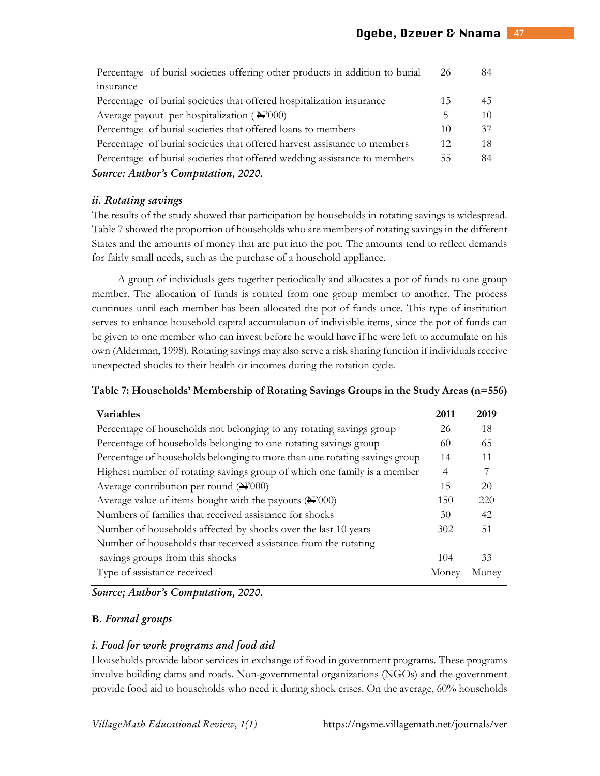| Percentage of burial societies offering other products in addition to burial | 26  | 84 |
|------------------------------------------------------------------------------|-----|----|
| insurance                                                                    |     |    |
| Percentage of burial societies that offered hospitalization insurance        | 15  | 45 |
| Average payout per hospitalization ( $\mathbf{\hat{H}}^{2}(000)$ )           | b.  | 10 |
| Percentage of burial societies that offered loans to members                 | 10  | 37 |
| Percentage of burial societies that offered harvest assistance to members    | 12. | 18 |
| Percentage of burial societies that offered wedding assistance to members    | 55  | 84 |
|                                                                              |     |    |

*Source: Author's Computation, 2020.* 

#### *ii R-tatig savigs*

The results of the study showed that participation by households in rotating savings is widespread. Table 7 showed the proportion of households who are members of rotating savings in the different States and the amounts of money that are put into the pot. The amounts tend to reflect demands for fairly small needs, such as the purchase of a household appliance.

A group of individuals gets together periodically and allocates a pot of funds to one group member. The allocation of funds is rotated from one group member to another. The process continues until each member has been allocated the pot of funds once. This type of institution serves to enhance household capital accumulation of indivisible items, since the pot of funds can be given to one member who can invest before he would have if he were left to accumulate on his own (Alderman, 1998). Rotating savings may also serve a risk sharing function if individuals receive unexpected shocks to their health or incomes during the rotation cycle.

| Table 7: Households' Membership of Rotating Savings Groups in the Study Areas (n=556) |  |  |  |  |  |  |  |  |
|---------------------------------------------------------------------------------------|--|--|--|--|--|--|--|--|
|---------------------------------------------------------------------------------------|--|--|--|--|--|--|--|--|

| <b>Variables</b>                                                           | 2011           | 2019  |
|----------------------------------------------------------------------------|----------------|-------|
| Percentage of households not belonging to any rotating savings group       | 26             | 18    |
| Percentage of households belonging to one rotating savings group           | 60             | 65    |
| Percentage of households belonging to more than one rotating savings group | 14             | 11    |
| Highest number of rotating savings group of which one family is a member   | $\overline{4}$ |       |
| Average contribution per round $(\mathbb{H}^2000)$                         | 15             | 20    |
| Average value of items bought with the payouts $(\mathbb{H}^2 000)$        | 150            | 220   |
| Numbers of families that received assistance for shocks                    | 30             | 42    |
| Number of households affected by shocks over the last 10 years             | 302            | 51    |
| Number of households that received assistance from the rotating            |                |       |
| savings groups from this shocks                                            | 104            | 33    |
| Type of assistance received                                                | Money          | Money |

*Source; Author's Computation, 2020.* 

## **B.** Formal groups

## *i. Food for work programs and food aid*

Households provide labor services in exchange of food in government programs. These programs involve building dams and roads. Non-governmental organizations (NGOs) and the government provide food aid to households who need it during shock crises. On the average, 60% households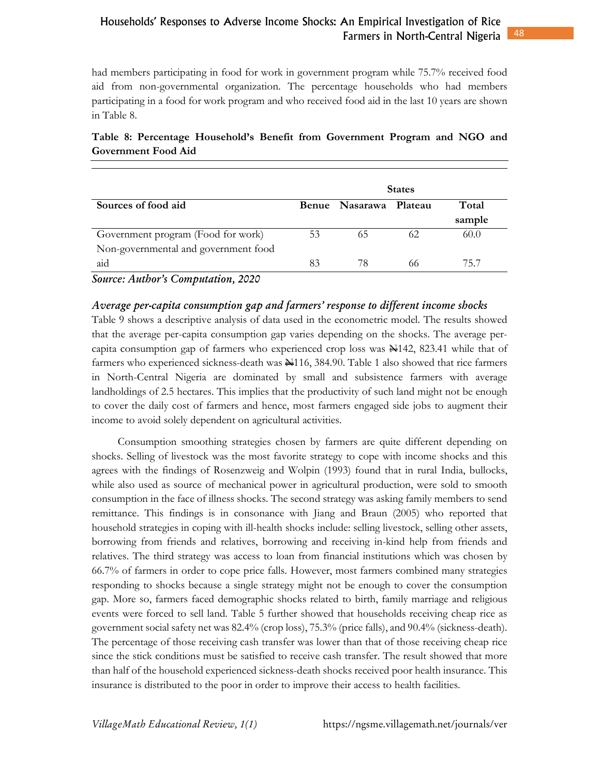had members participating in food for work in government program while 75.7% received food aid from non-governmental organization. The percentage households who had members participating in a food for work program and who received food aid in the last 10 years are shown in Table 8.

|                                      | <b>States</b> |                        |    |        |
|--------------------------------------|---------------|------------------------|----|--------|
| Sources of food aid                  |               | Benue Nasarawa Plateau |    | Total  |
|                                      |               |                        |    | sample |
| Government program (Food for work)   | 53            | 65                     | 62 | 60.0   |
| Non-governmental and government food |               |                        |    |        |
| aid                                  | 83            | 78                     | 66 | 75.7   |

# **Table 8: Percentage Household's Benefit from Government Program and NGO and Government Food Aid**

*Source: Author's Computation, 2020* 

## Average per-capita consumption gap and farmers' response to different income shocks

Table 9 shows a descriptive analysis of data used in the econometric model. The results showed that the average per-capita consumption gap varies depending on the shocks. The average percapita consumption gap of farmers who experienced crop loss was  $\frac{1}{24}142$ , 823.41 while that of farmers who experienced sickness-death was  $\frac{1116}{100}$ , 384.90. Table 1 also showed that rice farmers in North-Central Nigeria are dominated by small and subsistence farmers with average landholdings of 2.5 hectares. This implies that the productivity of such land might not be enough to cover the daily cost of farmers and hence, most farmers engaged side jobs to augment their income to avoid solely dependent on agricultural activities.

Consumption smoothing strategies chosen by farmers are quite different depending on shocks. Selling of livestock was the most favorite strategy to cope with income shocks and this agrees with the findings of Rosenzweig and Wolpin (1993) found that in rural India, bullocks, while also used as source of mechanical power in agricultural production, were sold to smooth consumption in the face of illness shocks. The second strategy was asking family members to send remittance. This findings is in consonance with Jiang and Braun (2005) who reported that household strategies in coping with ill-health shocks include: selling livestock, selling other assets, borrowing from friends and relatives, borrowing and receiving in-kind help from friends and relatives. The third strategy was access to loan from financial institutions which was chosen by 66.7% of farmers in order to cope price falls. However, most farmers combined many strategies responding to shocks because a single strategy might not be enough to cover the consumption gap. More so, farmers faced demographic shocks related to birth, family marriage and religious events were forced to sell land. Table 5 further showed that households receiving cheap rice as government social safety net was 82.4% (crop loss), 75.3% (price falls), and 90.4% (sickness-death). The percentage of those receiving cash transfer was lower than that of those receiving cheap rice since the stick conditions must be satisfied to receive cash transfer. The result showed that more than half of the household experienced sickness-death shocks received poor health insurance. This insurance is distributed to the poor in order to improve their access to health facilities.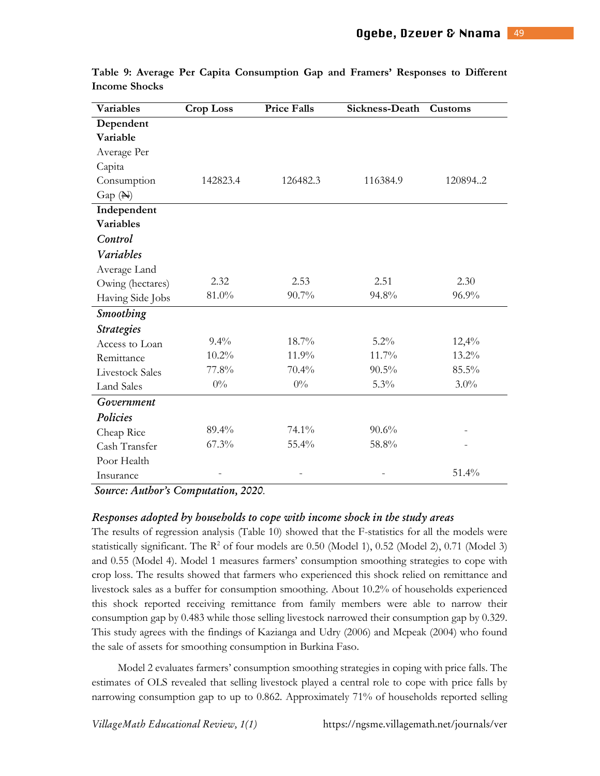| Variables              | <b>Crop Loss</b> | <b>Price Falls</b> | Sickness-Death | Customs |
|------------------------|------------------|--------------------|----------------|---------|
| Dependent              |                  |                    |                |         |
| Variable               |                  |                    |                |         |
| Average Per            |                  |                    |                |         |
| Capita                 |                  |                    |                |         |
| Consumption            | 142823.4         | 126482.3           | 116384.9       | 1208942 |
| $Gap(\mathbb{H})$      |                  |                    |                |         |
| Independent            |                  |                    |                |         |
| <b>Variables</b>       |                  |                    |                |         |
| Control                |                  |                    |                |         |
| Variables              |                  |                    |                |         |
| Average Land           |                  |                    |                |         |
| Owing (hectares)       | 2.32             | 2.53               | 2.51           | 2.30    |
| Having Side Jobs       | 81.0%            | 90.7%              | 94.8%          | 96.9%   |
| Smoothing              |                  |                    |                |         |
| <b>Strategies</b>      |                  |                    |                |         |
| Access to Loan         | $9.4\%$          | 18.7%              | 5.2%           | 12,4%   |
| Remittance             | 10.2%            | 11.9%              | 11.7%          | 13.2%   |
| <b>Livestock Sales</b> | 77.8%            | 70.4%              | $90.5\%$       | 85.5%   |
| <b>Land Sales</b>      | $0\%$            | $0\%$              | 5.3%           | $3.0\%$ |
| Government             |                  |                    |                |         |
| Policies               |                  |                    |                |         |
| Cheap Rice             | 89.4%            | 74.1%              | 90.6%          |         |
| Cash Transfer          | 67.3%            | 55.4%              | 58.8%          |         |
| Poor Health            |                  |                    |                |         |
| Insurance              |                  |                    |                | 51.4%   |

**Table 9: Average Per Capita Consumption Gap and Framers' Responses to Different Income Shocks** 

*S-urce Auth-r's C-putati- 2020*.

#### $R$ esponses adopted by households to cope with income shock in the study areas  $\overline{\phantom{R}}$

The results of regression analysis (Table 10) showed that the F-statistics for all the models were statistically significant. The  $R^2$  of four models are 0.50 (Model 1), 0.52 (Model 2), 0.71 (Model 3) and 0.55 (Model 4). Model 1 measures farmers' consumption smoothing strategies to cope with crop loss. The results showed that farmers who experienced this shock relied on remittance and livestock sales as a buffer for consumption smoothing. About 10.2% of households experienced this shock reported receiving remittance from family members were able to narrow their consumption gap by 0.483 while those selling livestock narrowed their consumption gap by 0.329. This study agrees with the findings of Kazianga and Udry (2006) and Mcpeak (2004) who found the sale of assets for smoothing consumption in Burkina Faso.

Model 2 evaluates farmers' consumption smoothing strategies in coping with price falls. The estimates of OLS revealed that selling livestock played a central role to cope with price falls by narrowing consumption gap to up to 0.862. Approximately 71% of households reported selling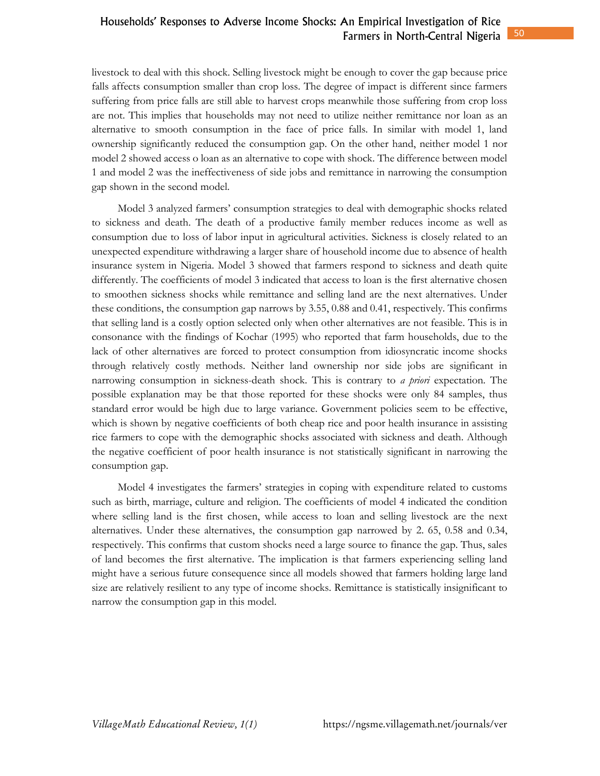livestock to deal with this shock. Selling livestock might be enough to cover the gap because price falls affects consumption smaller than crop loss. The degree of impact is different since farmers suffering from price falls are still able to harvest crops meanwhile those suffering from crop loss are not. This implies that households may not need to utilize neither remittance nor loan as an alternative to smooth consumption in the face of price falls. In similar with model 1, land ownership significantly reduced the consumption gap. On the other hand, neither model 1 nor model 2 showed access o loan as an alternative to cope with shock. The difference between model 1 and model 2 was the ineffectiveness of side jobs and remittance in narrowing the consumption gap shown in the second model.

Model 3 analyzed farmers' consumption strategies to deal with demographic shocks related to sickness and death. The death of a productive family member reduces income as well as consumption due to loss of labor input in agricultural activities. Sickness is closely related to an unexpected expenditure withdrawing a larger share of household income due to absence of health insurance system in Nigeria. Model 3 showed that farmers respond to sickness and death quite differently. The coefficients of model 3 indicated that access to loan is the first alternative chosen to smoothen sickness shocks while remittance and selling land are the next alternatives. Under these conditions, the consumption gap narrows by 3.55, 0.88 and 0.41, respectively. This confirms that selling land is a costly option selected only when other alternatives are not feasible. This is in consonance with the findings of Kochar (1995) who reported that farm households, due to the lack of other alternatives are forced to protect consumption from idiosyncratic income shocks through relatively costly methods. Neither land ownership nor side jobs are significant in narrowing consumption in sickness-death shock. This is contrary to *a priori* expectation. The possible explanation may be that those reported for these shocks were only 84 samples, thus standard error would be high due to large variance. Government policies seem to be effective, which is shown by negative coefficients of both cheap rice and poor health insurance in assisting rice farmers to cope with the demographic shocks associated with sickness and death. Although the negative coefficient of poor health insurance is not statistically significant in narrowing the consumption gap.

Model 4 investigates the farmers' strategies in coping with expenditure related to customs such as birth, marriage, culture and religion. The coefficients of model 4 indicated the condition where selling land is the first chosen, while access to loan and selling livestock are the next alternatives. Under these alternatives, the consumption gap narrowed by 2. 65, 0.58 and 0.34, respectively. This confirms that custom shocks need a large source to finance the gap. Thus, sales of land becomes the first alternative. The implication is that farmers experiencing selling land might have a serious future consequence since all models showed that farmers holding large land size are relatively resilient to any type of income shocks. Remittance is statistically insignificant to narrow the consumption gap in this model.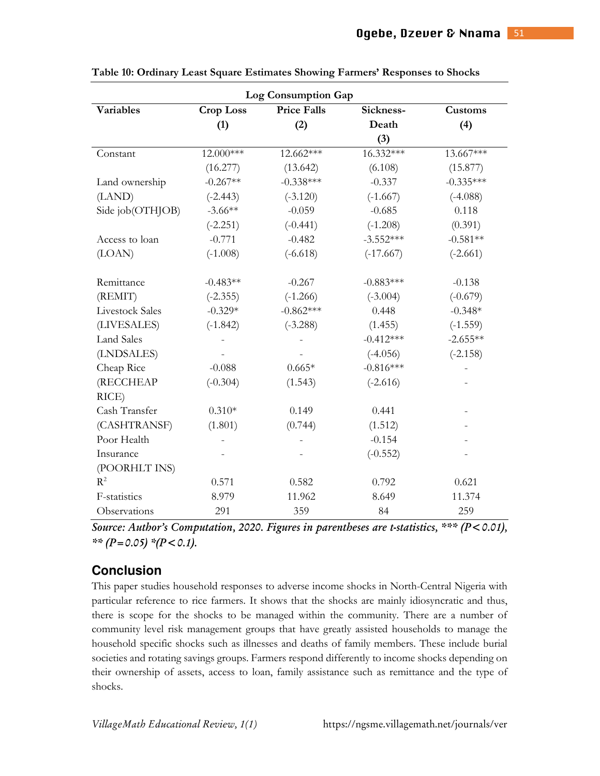| <b>Log Consumption Gap</b> |                                        |             |             |             |  |  |
|----------------------------|----------------------------------------|-------------|-------------|-------------|--|--|
| <b>Variables</b>           | <b>Price Falls</b><br><b>Crop Loss</b> |             | Sickness-   | Customs     |  |  |
|                            | (1)                                    | (2)         | Death       | (4)         |  |  |
|                            |                                        |             | (3)         |             |  |  |
| Constant                   | 12.000***                              | 12.662***   | 16.332***   | 13.667***   |  |  |
|                            | (16.277)                               | (13.642)    | (6.108)     | (15.877)    |  |  |
| Land ownership             | $-0.267**$                             | $-0.338***$ | $-0.337$    | $-0.335***$ |  |  |
| (LAND)                     | $(-2.443)$                             | $(-3.120)$  | $(-1.667)$  | $(-4.088)$  |  |  |
| Side job(OTHJOB)           | $-3.66**$                              | $-0.059$    | $-0.685$    | 0.118       |  |  |
|                            | $(-2.251)$                             | $(-0.441)$  | $(-1.208)$  | (0.391)     |  |  |
| Access to loan             | $-0.771$                               | $-0.482$    | $-3.552***$ | $-0.581**$  |  |  |
| (LOAN)                     | $(-1.008)$                             | $(-6.618)$  | $(-17.667)$ | $(-2.661)$  |  |  |
|                            |                                        |             |             |             |  |  |
| Remittance                 | $-0.483**$                             | $-0.267$    | $-0.883***$ | $-0.138$    |  |  |
| (REMIT)                    | $(-2.355)$                             | $(-1.266)$  | $(-3.004)$  | $(-0.679)$  |  |  |
| <b>Livestock Sales</b>     | $-0.329*$                              | $-0.862***$ | 0.448       | $-0.348*$   |  |  |
| (LIVESALES)                | $(-1.842)$                             | $(-3.288)$  | (1.455)     | $(-1.559)$  |  |  |
| <b>Land Sales</b>          |                                        |             | $-0.412***$ | $-2.655**$  |  |  |
| (LNDSALES)                 |                                        |             | $(-4.056)$  | $(-2.158)$  |  |  |
| Cheap Rice                 | $-0.088$                               | $0.665*$    | $-0.816***$ |             |  |  |
| (RECCHEAP                  | $(-0.304)$                             | (1.543)     | $(-2.616)$  |             |  |  |
| RICE)                      |                                        |             |             |             |  |  |
| Cash Transfer              | $0.310*$                               | 0.149       | 0.441       |             |  |  |
| (CASHTRANSF)               | (1.801)                                | (0.744)     | (1.512)     |             |  |  |
| Poor Health                |                                        |             | $-0.154$    |             |  |  |
| Insurance                  |                                        |             | $(-0.552)$  |             |  |  |
| (POORHLT INS)              |                                        |             |             |             |  |  |
| $R^2$                      | 0.571                                  | 0.582       | 0.792       | 0.621       |  |  |
| F-statistics               | 8.979                                  | 11.962      | 8.649       | 11.374      |  |  |
| Observations               | 291                                    | 359         | 84          | 259         |  |  |

**Table 10: Ordinary Least Square Estimates Showing Farmers' Responses to Shocks** 

Source: Author's Computation, 2020. Figures in parentheses are t-statistics, \*\*\* (P<0.01), \*\*  $(P=0.05)$  \* $(P<0.1)$ .

# **Conclusion**

This paper studies household responses to adverse income shocks in North-Central Nigeria with particular reference to rice farmers. It shows that the shocks are mainly idiosyncratic and thus, there is scope for the shocks to be managed within the community. There are a number of community level risk management groups that have greatly assisted households to manage the household specific shocks such as illnesses and deaths of family members. These include burial societies and rotating savings groups. Farmers respond differently to income shocks depending on their ownership of assets, access to loan, family assistance such as remittance and the type of shocks.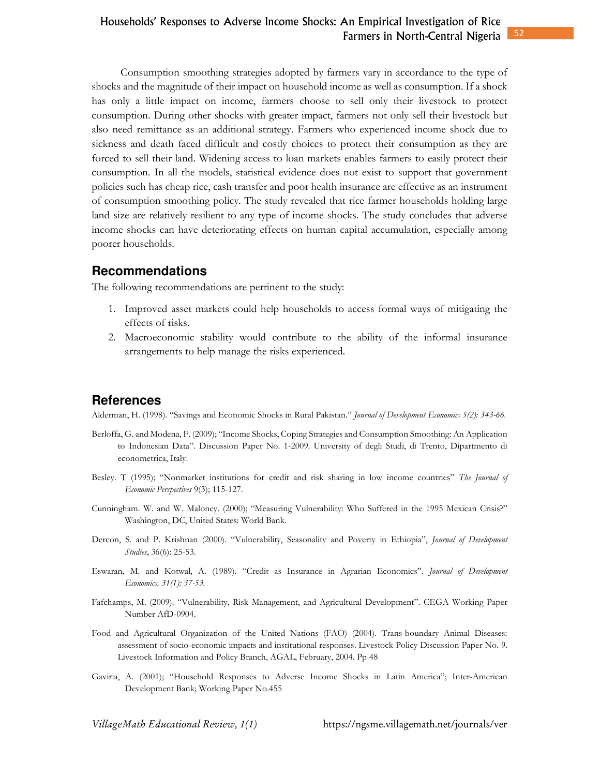Consumption smoothing strategies adopted by farmers vary in accordance to the type of shocks and the magnitude of their impact on household income as well as consumption. If a shock has only a little impact on income, farmers choose to sell only their livestock to protect consumption. During other shocks with greater impact, farmers not only sell their livestock but also need remittance as an additional strategy. Farmers who experienced income shock due to sickness and death faced difficult and costly choices to protect their consumption as they are forced to sell their land. Widening access to loan markets enables farmers to easily protect their consumption. In all the models, statistical evidence does not exist to support that government policies such has cheap rice, cash transfer and poor health insurance are effective as an instrument of consumption smoothing policy. The study revealed that rice farmer households holding large land size are relatively resilient to any type of income shocks. The study concludes that adverse income shocks can have deteriorating effects on human capital accumulation, especially among poorer households.

#### **Recommendations**

The following recommendations are pertinent to the study:

- 1. Improved asset markets could help households to access formal ways of mitigating the effects of risks.
- 2. Macroeconomic stability would contribute to the ability of the informal insurance arrangements to help manage the risks experienced.

## **References**

Alderman, H. (1998). "Savings and Economic Shocks in Rural Pakistan." *Journal of Development Economics 5(2): 343-66.* 

- Berloffa, G. and Modena, F. (2009); "Income Shocks, Coping Strategies and Consumption Smoothing: An Application to Indonesian Data". Discussion Paper No. 1-2009. University of degli Studi, di Trento, Dipartmento di econometrica, Italy.
- Besley. T (1995); "Nonmarket institutions for credit and risk sharing in low income countries" *The Journal of Economic Perspectives* 9(3); 115-127.
- Cunningham. W. and W. Maloney. (2000); "Measuring Vulnerability: Who Suffered in the 1995 Mexican Crisis?" Washington, DC, United States: World Bank.
- Dercon, S. and P. Krishnan (2000). "Vulnerability, Seasonality and Poverty in Ethiopia", *Journal of Development Studies*, 36(6): 25-53.
- Eswaran, M. and Kotwal, A. (1989). "Credit as Insurance in Agrarian Economics". *Journal of Development Economics, 31(1): 37-53.*
- Fafchamps, M. (2009). "Vulnerability, Risk Management, and Agricultural Development". CEGA Working Paper Number AfD-0904.
- Food and Agricultural Organization of the United Nations (FAO) (2004). Trans-boundary Animal Diseases: assessment of socio-economic impacts and institutional responses. Livestock Policy Discussion Paper No. 9. Livestock Information and Policy Branch, AGAL, February, 2004. Pp 48
- Gaviria, A. (2001); "Household Responses to Adverse Income Shocks in Latin America"; Inter-American Development Bank; Working Paper No.455